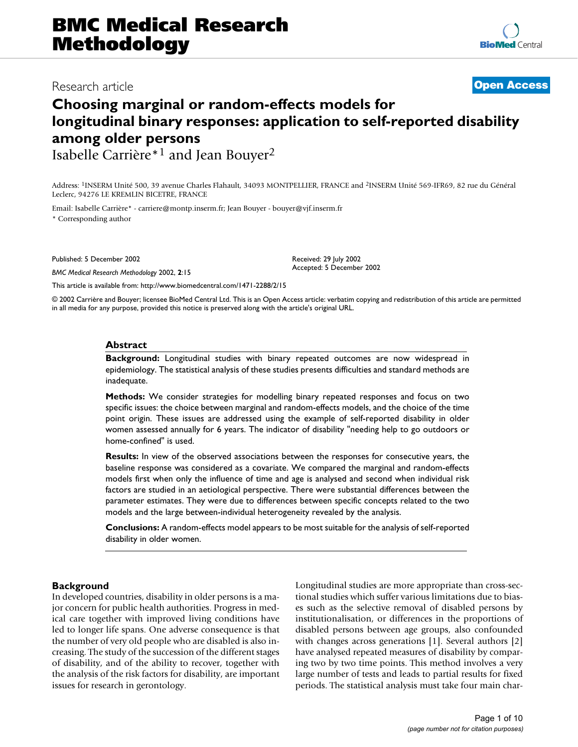# Research article **[Open Access](http://www.biomedcentral.com/info/about/charter/)**

# **Choosing marginal or random-effects models for longitudinal binary responses: application to self-reported disability among older persons**

Isabelle Carrière\*1 and Jean Bouyer2

Address: 1INSERM Unité 500, 39 avenue Charles Flahault, 34093 MONTPELLIER, FRANCE and 2INSERM Unité 569-IFR69, 82 rue du Général Leclerc, 94276 LE KREMLIN BICETRE, FRANCE

Email: Isabelle Carrière\* - carriere@montp.inserm.fr; Jean Bouyer - bouyer@vjf.inserm.fr \* Corresponding author

Published: 5 December 2002

*BMC Medical Research Methodology* 2002, **2**:15

[This article is available from: http://www.biomedcentral.com/1471-2288/2/15](http://www.biomedcentral.com/1471-2288/2/15)

© 2002 Carrière and Bouyer; licensee BioMed Central Ltd. This is an Open Access article: verbatim copying and redistribution of this article are permitted in all media for any purpose, provided this notice is preserved along with the article's original URL.

Received: 29 July 2002 Accepted: 5 December 2002

### **Abstract**

**Background:** Longitudinal studies with binary repeated outcomes are now widespread in epidemiology. The statistical analysis of these studies presents difficulties and standard methods are inadequate.

**Methods:** We consider strategies for modelling binary repeated responses and focus on two specific issues: the choice between marginal and random-effects models, and the choice of the time point origin. These issues are addressed using the example of self-reported disability in older women assessed annually for 6 years. The indicator of disability "needing help to go outdoors or home-confined" is used.

**Results:** In view of the observed associations between the responses for consecutive years, the baseline response was considered as a covariate. We compared the marginal and random-effects models first when only the influence of time and age is analysed and second when individual risk factors are studied in an aetiological perspective. There were substantial differences between the parameter estimates. They were due to differences between specific concepts related to the two models and the large between-individual heterogeneity revealed by the analysis.

**Conclusions:** A random-effects model appears to be most suitable for the analysis of self-reported disability in older women.

#### **Background**

In developed countries, disability in older persons is a major concern for public health authorities. Progress in medical care together with improved living conditions have led to longer life spans. One adverse consequence is that the number of very old people who are disabled is also increasing. The study of the succession of the different stages of disability, and of the ability to recover, together with the analysis of the risk factors for disability, are important issues for research in gerontology.

Longitudinal studies are more appropriate than cross-sectional studies which suffer various limitations due to biases such as the selective removal of disabled persons by institutionalisation, or differences in the proportions of disabled persons between age groups, also confounded with changes across generations [[1](#page-9-0)]. Several authors [\[2\]](#page-9-1) have analysed repeated measures of disability by comparing two by two time points. This method involves a very large number of tests and leads to partial results for fixed periods. The statistical analysis must take four main char-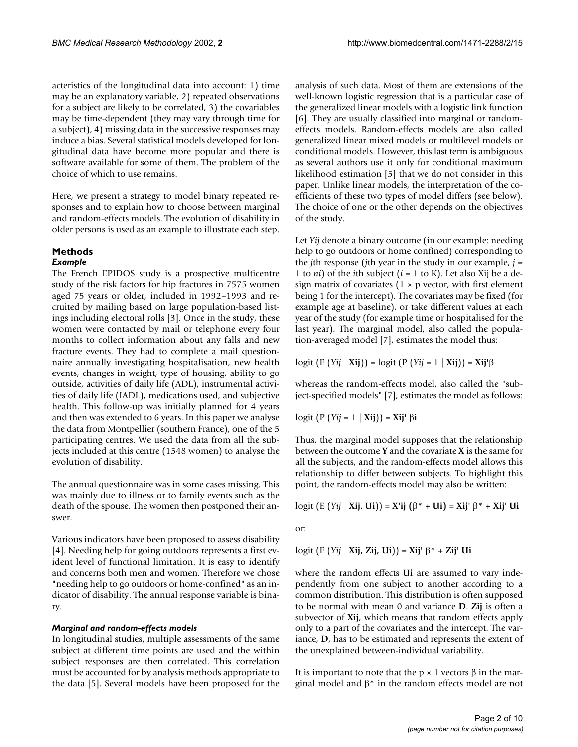acteristics of the longitudinal data into account: 1) time may be an explanatory variable, 2) repeated observations for a subject are likely to be correlated, 3) the covariables may be time-dependent (they may vary through time for a subject), 4) missing data in the successive responses may induce a bias. Several statistical models developed for longitudinal data have become more popular and there is software available for some of them. The problem of the choice of which to use remains.

Here, we present a strategy to model binary repeated responses and to explain how to choose between marginal and random-effects models. The evolution of disability in older persons is used as an example to illustrate each step.

# **Methods**

# *Example*

The French EPIDOS study is a prospective multicentre study of the risk factors for hip fractures in 7575 women aged 75 years or older, included in 1992–1993 and recruited by mailing based on large population-based listings including electoral rolls [\[3\]](#page-9-2). Once in the study, these women were contacted by mail or telephone every four months to collect information about any falls and new fracture events. They had to complete a mail questionnaire annually investigating hospitalisation, new health events, changes in weight, type of housing, ability to go outside, activities of daily life (ADL), instrumental activities of daily life (IADL), medications used, and subjective health. This follow-up was initially planned for 4 years and then was extended to 6 years. In this paper we analyse the data from Montpellier (southern France), one of the 5 participating centres. We used the data from all the subjects included at this centre (1548 women) to analyse the evolution of disability.

The annual questionnaire was in some cases missing. This was mainly due to illness or to family events such as the death of the spouse. The women then postponed their answer.

Various indicators have been proposed to assess disability [[4](#page-9-3)]. Needing help for going outdoors represents a first evident level of functional limitation. It is easy to identify and concerns both men and women. Therefore we chose "needing help to go outdoors or home-confined" as an indicator of disability. The annual response variable is binary.

# *Marginal and random-effects models*

In longitudinal studies, multiple assessments of the same subject at different time points are used and the within subject responses are then correlated. This correlation must be accounted for by analysis methods appropriate to the data [\[5\]](#page-9-4). Several models have been proposed for the analysis of such data. Most of them are extensions of the well-known logistic regression that is a particular case of the generalized linear models with a logistic link function [[6\]](#page-9-5). They are usually classified into marginal or randomeffects models. Random-effects models are also called generalized linear mixed models or multilevel models or conditional models. However, this last term is ambiguous as several authors use it only for conditional maximum likelihood estimation [[5](#page-9-4)] that we do not consider in this paper. Unlike linear models, the interpretation of the coefficients of these two types of model differs (see below). The choice of one or the other depends on the objectives of the study.

Let *Yij* denote a binary outcome (in our example: needing help to go outdoors or home confined) corresponding to the *j*th response (*j*th year in the study in our example, *j* = 1 to *ni*) of the *i*th subject (*i* = 1 to K). Let also Xij be a design matrix of covariates ( $1 \times p$  vector, with first element being 1 for the intercept). The covariates may be fixed (for example age at baseline), or take different values at each year of the study (for example time or hospitalised for the last year). The marginal model, also called the population-averaged model [[7](#page-9-6)], estimates the model thus:

logit (E (*Yij* | **Xij**)) = logit (P (*Yij* = 1 | **Xij**)) = **Xij'**β

whereas the random-effects model, also called the "subject-specified models" [[7\]](#page-9-6), estimates the model as follows:

logit (P (*Yij* = 1 | **Xij**)) = **Xij'** β**i**

Thus, the marginal model supposes that the relationship between the outcome **Y** and the covariate **X** is the same for all the subjects, and the random-effects model allows this relationship to differ between subjects. To highlight this point, the random-effects model may also be written:

logit (E (*Yij* | **Xij**, **Ui**)) = **X'ij (**β**\* + Ui)** = **Xij'** β**\* + Xij' Ui**

or:

logit (E (*Yij* | **Xij, Zij, Ui**)) = **Xij'** β**\* + Zij' Ui**

where the random effects **Ui** are assumed to vary independently from one subject to another according to a common distribution. This distribution is often supposed to be normal with mean 0 and variance **D**. **Zij** is often a subvector of **Xij**, which means that random effects apply only to a part of the covariates and the intercept. The variance, **D**, has to be estimated and represents the extent of the unexplained between-individual variability.

It is important to note that the  $p \times 1$  vectors β in the marginal model and β**\*** in the random effects model are not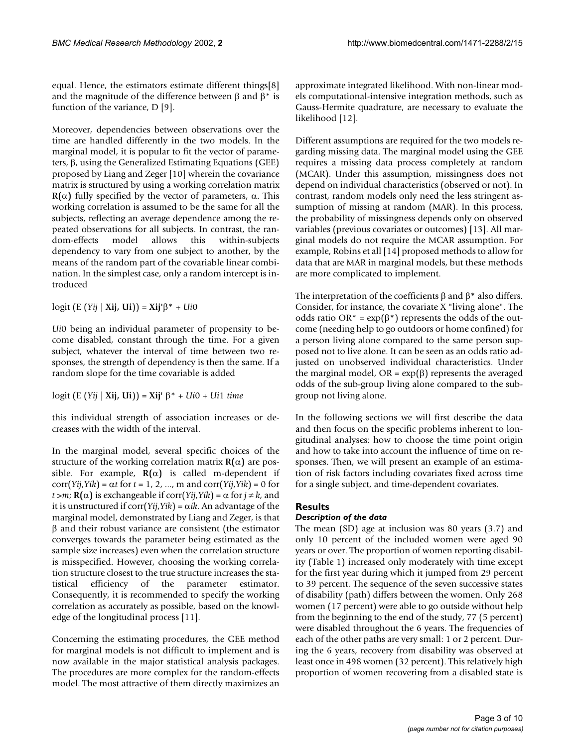equal. Hence, the estimators estimate different things[\[8\]](#page-9-7) and the magnitude of the difference between  $\beta$  and  $\beta^*$  is function of the variance, D [[9](#page-9-8)].

Moreover, dependencies between observations over the time are handled differently in the two models. In the marginal model, it is popular to fit the vector of parameters, β, using the Generalized Estimating Equations (GEE) proposed by Liang and Zeger [[10](#page-9-9)] wherein the covariance matrix is structured by using a working correlation matrix **R(**α**)** fully specified by the vector of parameters, α. This working correlation is assumed to be the same for all the subjects, reflecting an average dependence among the repeated observations for all subjects. In contrast, the random-effects model allows this within-subjects dependency to vary from one subject to another, by the means of the random part of the covariable linear combination. In the simplest case, only a random intercept is introduced

logit (E (*Yij* | **Xij, Ui**)) = **Xij'**β**\*** + *Ui*0

*Ui*0 being an individual parameter of propensity to become disabled, constant through the time. For a given subject, whatever the interval of time between two responses, the strength of dependency is then the same. If a random slope for the time covariable is added

logit (E (*Yij* | **Xij, Ui**)) = **Xij'** β**\*** + *Ui*0 + *Ui*1 *time*

this individual strength of association increases or decreases with the width of the interval.

In the marginal model, several specific choices of the structure of the working correlation matrix **R(**α**)** are possible. For example, **R(**α**)** is called m-dependent if corr(*Yij*,*Yik*) =  $\alpha t$  for  $t = 1, 2, ..., m$  and corr(*Yij*,*Yik*) = 0 for  $t > m$ ; **R(**α) is exchangeable if corr(*Yij,Yik*) = α for *j* ≠ *k*, and it is unstructured if  $corr(Yij, Yik) = \alpha i k$ . An advantage of the marginal model, demonstrated by Liang and Zeger, is that  $β$  and their robust variance are consistent (the estimator converges towards the parameter being estimated as the sample size increases) even when the correlation structure is misspecified. However, choosing the working correlation structure closest to the true structure increases the statistical efficiency of the parameter estimator. Consequently, it is recommended to specify the working correlation as accurately as possible, based on the knowledge of the longitudinal process [[11](#page-9-10)].

Concerning the estimating procedures, the GEE method for marginal models is not difficult to implement and is now available in the major statistical analysis packages. The procedures are more complex for the random-effects model. The most attractive of them directly maximizes an

approximate integrated likelihood. With non-linear models computational-intensive integration methods, such as Gauss-Hermite quadrature, are necessary to evaluate the likelihood [[12\]](#page-9-11).

Different assumptions are required for the two models regarding missing data. The marginal model using the GEE requires a missing data process completely at random (MCAR). Under this assumption, missingness does not depend on individual characteristics (observed or not). In contrast, random models only need the less stringent assumption of missing at random (MAR). In this process, the probability of missingness depends only on observed variables (previous covariates or outcomes) [[13\]](#page-9-12). All marginal models do not require the MCAR assumption. For example, Robins et all [[14](#page-9-13)] proposed methods to allow for data that are MAR in marginal models, but these methods are more complicated to implement.

The interpretation of the coefficients β and β**\*** also differs. Consider, for instance, the covariate X "living alone". The odds ratio  $OR^* = \exp(\beta^*)$  represents the odds of the outcome (needing help to go outdoors or home confined) for a person living alone compared to the same person supposed not to live alone. It can be seen as an odds ratio adjusted on unobserved individual characteristics. Under the marginal model,  $OR = exp(β)$  represents the averaged odds of the sub-group living alone compared to the subgroup not living alone.

In the following sections we will first describe the data and then focus on the specific problems inherent to longitudinal analyses: how to choose the time point origin and how to take into account the influence of time on responses. Then, we will present an example of an estimation of risk factors including covariates fixed across time for a single subject, and time-dependent covariates.

# **Results**

# *Description of the data*

The mean (SD) age at inclusion was 80 years (3.7) and only 10 percent of the included women were aged 90 years or over. The proportion of women reporting disability (Table [1\)](#page-3-0) increased only moderately with time except for the first year during which it jumped from 29 percent to 39 percent. The sequence of the seven successive states of disability (path) differs between the women. Only 268 women (17 percent) were able to go outside without help from the beginning to the end of the study, 77 (5 percent) were disabled throughout the 6 years. The frequencies of each of the other paths are very small: 1 or 2 percent. During the 6 years, recovery from disability was observed at least once in 498 women (32 percent). This relatively high proportion of women recovering from a disabled state is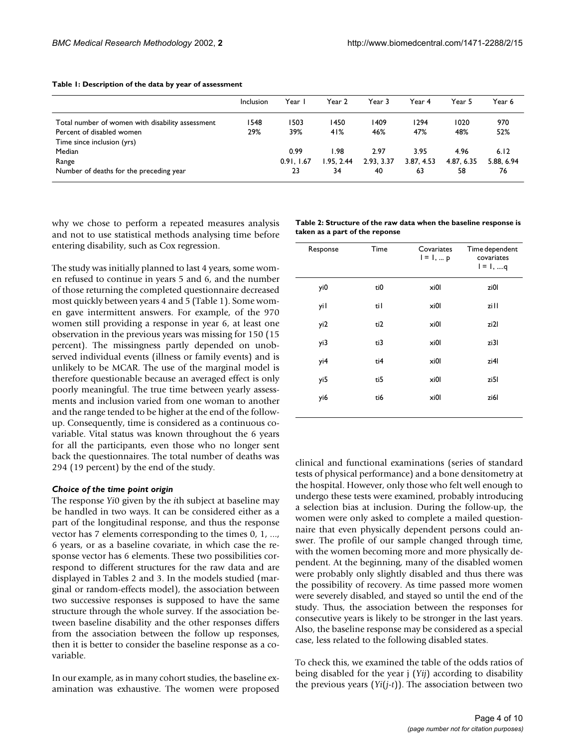|                                                  | Inclusion | Year I    | Year 2    | Year 3     | Year 4     | Year 5     | Year 6     |
|--------------------------------------------------|-----------|-----------|-----------|------------|------------|------------|------------|
| Total number of women with disability assessment | 1548      | 1503      | 1450      | 1409       | 1294       | 1020       | 970        |
| Percent of disabled women                        | 29%       | 39%       | 41%       | 46%        | 47%        | 48%        | 52%        |
| Time since inclusion (yrs)                       |           |           |           |            |            |            |            |
| Median                                           |           | 0.99      | I.98      | 2.97       | 3.95       | 4.96       | 6.12       |
| Range                                            |           | 0.91.1.67 | 1.95.2.44 | 2.93, 3.37 | 3.87, 4.53 | 4.87, 6.35 | 5.88, 6.94 |
| Number of deaths for the preceding year          |           | 23        | 34        | 40         | 63         | 58         | 76         |

#### <span id="page-3-0"></span>**Table 1: Description of the data by year of assessment**

why we chose to perform a repeated measures analysis and not to use statistical methods analysing time before entering disability, such as Cox regression.

The study was initially planned to last 4 years, some women refused to continue in years 5 and 6, and the number of those returning the completed questionnaire decreased most quickly between years 4 and 5 (Table [1\)](#page-3-0). Some women gave intermittent answers. For example, of the 970 women still providing a response in year 6, at least one observation in the previous years was missing for 150 (15 percent). The missingness partly depended on unobserved individual events (illness or family events) and is unlikely to be MCAR. The use of the marginal model is therefore questionable because an averaged effect is only poorly meaningful. The true time between yearly assessments and inclusion varied from one woman to another and the range tended to be higher at the end of the followup. Consequently, time is considered as a continuous covariable. Vital status was known throughout the 6 years for all the participants, even those who no longer sent back the questionnaires. The total number of deaths was 294 (19 percent) by the end of the study.

#### *Choice of the time point origin*

The response *Yi*0 given by the *i*th subject at baseline may be handled in two ways. It can be considered either as a part of the longitudinal response, and thus the response vector has 7 elements corresponding to the times 0, 1, ..., 6 years, or as a baseline covariate, in which case the response vector has 6 elements. These two possibilities correspond to different structures for the raw data and are displayed in Tables [2](#page-3-1) and [3](#page-4-0). In the models studied (marginal or random-effects model), the association between two successive responses is supposed to have the same structure through the whole survey. If the association between baseline disability and the other responses differs from the association between the follow up responses, then it is better to consider the baseline response as a covariable.

In our example, as in many cohort studies, the baseline examination was exhaustive. The women were proposed

<span id="page-3-1"></span>

| Table 2: Structure of the raw data when the baseline response is |  |  |
|------------------------------------------------------------------|--|--|
| taken as a part of the reponse                                   |  |  |

| Response | Time            | Covariates<br>$I = I,  p$ | Time dependent<br>covariates<br>$I = 1, , q$ |
|----------|-----------------|---------------------------|----------------------------------------------|
| yi0      | ti0             | xi0l                      | zi0l                                         |
| yil      | ti l            | xi0l                      | zill                                         |
| yi2      | ti <sub>2</sub> | xi0l                      | zi2l                                         |
| yi3      | ti3             | xi0l                      | zi3l                                         |
| yi4      | ti4             | xi0l                      | zi4l                                         |
| yi5      | ti5             | xi0l                      | zi5l                                         |
| yi6      | ti6             | xi0l                      | zi6l                                         |
|          |                 |                           |                                              |

clinical and functional examinations (series of standard tests of physical performance) and a bone densitometry at the hospital. However, only those who felt well enough to undergo these tests were examined, probably introducing a selection bias at inclusion. During the follow-up, the women were only asked to complete a mailed questionnaire that even physically dependent persons could answer. The profile of our sample changed through time, with the women becoming more and more physically dependent. At the beginning, many of the disabled women were probably only slightly disabled and thus there was the possibility of recovery. As time passed more women were severely disabled, and stayed so until the end of the study. Thus, the association between the responses for consecutive years is likely to be stronger in the last years. Also, the baseline response may be considered as a special case, less related to the following disabled states.

To check this, we examined the table of the odds ratios of being disabled for the year j (*Yij*) according to disability the previous years (*Yi*(*j*-*t*)). The association between two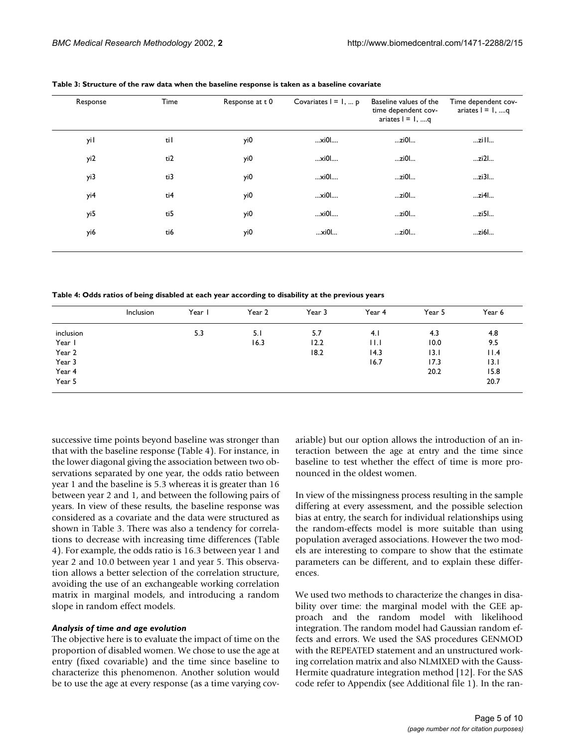| Response | Time | Response at t 0 | Covariates $I = I,  p$ | Baseline values of the<br>time dependent cov-<br>ariates $I = I$ , q | Time dependent cov-<br>ariates $I = I$ , q |
|----------|------|-----------------|------------------------|----------------------------------------------------------------------|--------------------------------------------|
| yil      | ti l | yi0             | $$ xi0l                | $$ zi0 $$                                                            | $$ zill $$                                 |
| yi2      | ti2  | yi0             | $x$ i0 $$              | $$ zi0 $$                                                            | $$ zi2l $$                                 |
| yi3      | ti3  | yi0             | $x$ i0 $$              | $$ zi0 $$                                                            | $$ zi3I $$                                 |
| yi4      | ti4  | yi0             | $x$ i0 $$              | $$ zi0 $$                                                            | $$ zi4 $$                                  |
| yi5      | ti5  | yi0             | $$ xi0l $$             | $$ zi0 $$                                                            | $$ zi5l $$                                 |
| yi6      | ti6  | yi0             | $$ xi0 $$              | $$ zi0I $$                                                           | $$ zi6l $$                                 |
|          |      |                 |                        |                                                                      |                                            |

<span id="page-4-0"></span>**Table 3: Structure of the raw data when the baseline response is taken as a baseline covariate**

<span id="page-4-1"></span>**Table 4: Odds ratios of being disabled at each year according to disability at the previous years**

|           | Inclusion | Year | Year 2 | Year 3 | Year 4 | Year 5 | Year 6 |
|-----------|-----------|------|--------|--------|--------|--------|--------|
| inclusion |           | 5.3  | 5.1    | 5.7    | 4.1    | 4.3    | 4.8    |
| Year I    |           |      | 16.3   | 12.2   | 11.1   | 10.0   | 9.5    |
| Year 2    |           |      |        | 18.2   | 14.3   | 13.1   | 11.4   |
| Year 3    |           |      |        |        | 16.7   | 17.3   | 13.1   |
| Year 4    |           |      |        |        |        | 20.2   | 15.8   |
| Year 5    |           |      |        |        |        |        | 20.7   |

successive time points beyond baseline was stronger than that with the baseline response (Table [4\)](#page-4-1). For instance, in the lower diagonal giving the association between two observations separated by one year, the odds ratio between year 1 and the baseline is 5.3 whereas it is greater than 16 between year 2 and 1, and between the following pairs of years. In view of these results, the baseline response was considered as a covariate and the data were structured as shown in Table [3](#page-4-0). There was also a tendency for correlations to decrease with increasing time differences (Table [4\)](#page-4-1). For example, the odds ratio is 16.3 between year 1 and year 2 and 10.0 between year 1 and year 5. This observation allows a better selection of the correlation structure, avoiding the use of an exchangeable working correlation matrix in marginal models, and introducing a random slope in random effect models.

#### *Analysis of time and age evolution*

The objective here is to evaluate the impact of time on the proportion of disabled women. We chose to use the age at entry (fixed covariable) and the time since baseline to characterize this phenomenon. Another solution would be to use the age at every response (as a time varying covariable) but our option allows the introduction of an interaction between the age at entry and the time since baseline to test whether the effect of time is more pronounced in the oldest women.

In view of the missingness process resulting in the sample differing at every assessment, and the possible selection bias at entry, the search for individual relationships using the random-effects model is more suitable than using population averaged associations. However the two models are interesting to compare to show that the estimate parameters can be different, and to explain these differences.

We used two methods to characterize the changes in disability over time: the marginal model with the GEE approach and the random model with likelihood integration. The random model had Gaussian random effects and errors. We used the SAS procedures GENMOD with the REPEATED statement and an unstructured working correlation matrix and also NLMIXED with the Gauss-Hermite quadrature integration method [[12\]](#page-9-11). For the SAS code refer to Appendix (see Additional file [1](#page-9-14)). In the ran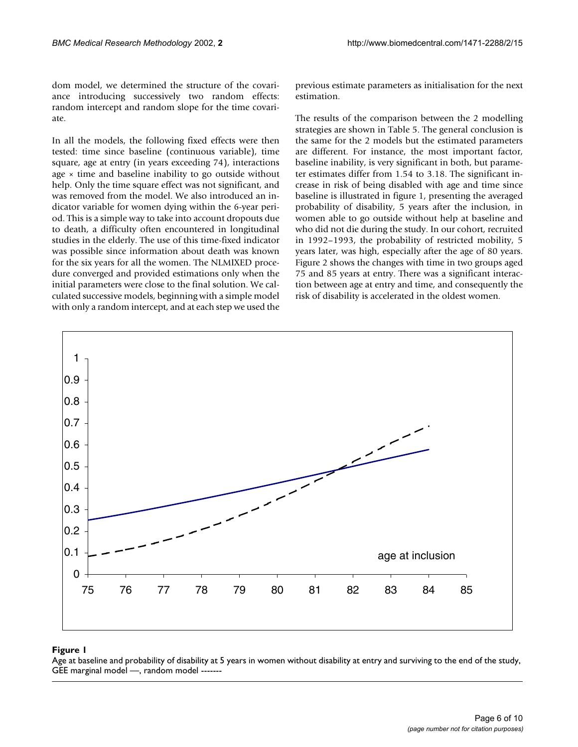dom model, we determined the structure of the covariance introducing successively two random effects: random intercept and random slope for the time covariate.

In all the models, the following fixed effects were then tested: time since baseline (continuous variable), time square, age at entry (in years exceeding 74), interactions age × time and baseline inability to go outside without help. Only the time square effect was not significant, and was removed from the model. We also introduced an indicator variable for women dying within the 6-year period. This is a simple way to take into account dropouts due to death, a difficulty often encountered in longitudinal studies in the elderly. The use of this time-fixed indicator was possible since information about death was known for the six years for all the women. The NLMIXED procedure converged and provided estimations only when the initial parameters were close to the final solution. We calculated successive models, beginning with a simple model with only a random intercept, and at each step we used the previous estimate parameters as initialisation for the next estimation.

The results of the comparison between the 2 modelling strategies are shown in Table [5](#page-6-0). The general conclusion is the same for the 2 models but the estimated parameters are different. For instance, the most important factor, baseline inability, is very significant in both, but parameter estimates differ from 1.54 to 3.18. The significant increase in risk of being disabled with age and time since baseline is illustrated in figure [1,](#page-5-0) presenting the averaged probability of disability, 5 years after the inclusion, in women able to go outside without help at baseline and who did not die during the study. In our cohort, recruited in 1992–1993, the probability of restricted mobility, 5 years later, was high, especially after the age of 80 years. Figure [2](#page-6-1) shows the changes with time in two groups aged 75 and 85 years at entry. There was a significant interaction between age at entry and time, and consequently the risk of disability is accelerated in the oldest women.

<span id="page-5-0"></span>

#### **Figure 1**

Age at baseline and probability of disability at 5 years in women without disability at entry and surviving to the end of the study, GEE marginal model —, random model -------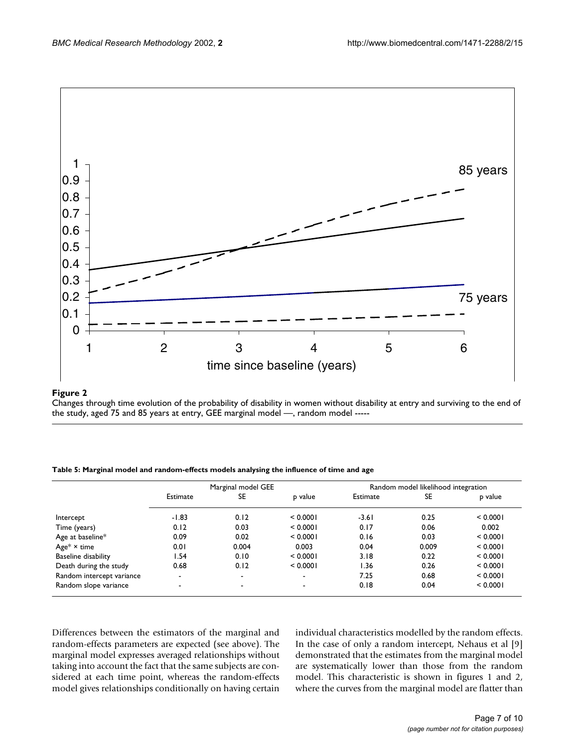<span id="page-6-1"></span>

#### **Figure 2**

Changes through time evolution of the probability of disability in women without disability at entry and surviving to the end of the study, aged 75 and 85 years at entry, GEE marginal model —, random model -----

<span id="page-6-0"></span>

|  |  | Table 5: Marginal model and random-effects models analysing the influence of time and age |
|--|--|-------------------------------------------------------------------------------------------|
|--|--|-------------------------------------------------------------------------------------------|

|                            |                          | Marginal model GEE |                          |          | Random model likelihood integration |          |
|----------------------------|--------------------------|--------------------|--------------------------|----------|-------------------------------------|----------|
|                            | Estimate                 | SE                 | p value                  | Estimate | <b>SE</b>                           | p value  |
| Intercept                  | $-1.83$                  | 0.12               | < 0.0001                 | $-3.61$  | 0.25                                | < 0.0001 |
| Time (years)               | 0.12                     | 0.03               | < 0.0001                 | 0.17     | 0.06                                | 0.002    |
| Age at baseline*           | 0.09                     | 0.02               | < 0.0001                 | 0.16     | 0.03                                | < 0.0001 |
| Age* $\times$ time         | 0.01                     | 0.004              | 0.003                    | 0.04     | 0.009                               | < 0.0001 |
| <b>Baseline disability</b> | l.54                     | 0.10               | < 0.0001                 | 3.18     | 0.22                                | < 0.0001 |
| Death during the study     | 0.68                     | 0.12               | < 0.0001                 | I.36     | 0.26                                | < 0.0001 |
| Random intercept variance  | $\overline{\phantom{a}}$ | $\blacksquare$     | $\overline{\phantom{0}}$ | 7.25     | 0.68                                | < 0.0001 |
| Random slope variance      | $\blacksquare$           | $\blacksquare$     | ٠                        | 0.18     | 0.04                                | < 0.0001 |

Differences between the estimators of the marginal and random-effects parameters are expected (see above). The marginal model expresses averaged relationships without taking into account the fact that the same subjects are considered at each time point, whereas the random-effects model gives relationships conditionally on having certain individual characteristics modelled by the random effects. In the case of only a random intercept, Nehaus et al [\[9\]](#page-9-8) demonstrated that the estimates from the marginal model are systematically lower than those from the random model. This characteristic is shown in figures [1](#page-5-0) and [2,](#page-6-1) where the curves from the marginal model are flatter than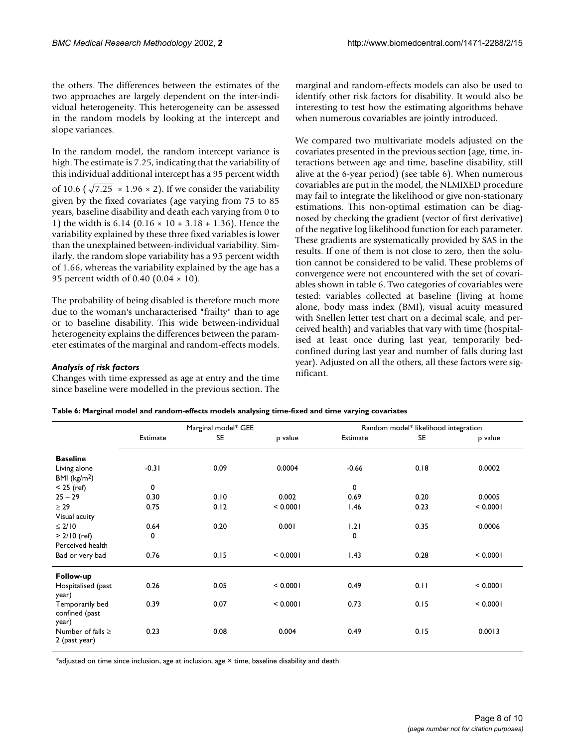the others. The differences between the estimates of the two approaches are largely dependent on the inter-individual heterogeneity. This heterogeneity can be assessed in the random models by looking at the intercept and slope variances.

In the random model, the random intercept variance is high. The estimate is 7.25, indicating that the variability of this individual additional intercept has a 95 percent width

of 10.6 ( $\sqrt{7.25} \times 1.96 \times 2$ ). If we consider the variability given by the fixed covariates (age varying from 75 to 85 years, baseline disability and death each varying from 0 to 1) the width is 6.14 (0.16 × 10 + 3.18 + 1.36). Hence the variability explained by these three fixed variables is lower than the unexplained between-individual variability. Similarly, the random slope variability has a 95 percent width of 1.66, whereas the variability explained by the age has a 95 percent width of 0.40 (0.04 × 10).

The probability of being disabled is therefore much more due to the woman's uncharacterised "frailty" than to age or to baseline disability. This wide between-individual heterogeneity explains the differences between the parameter estimates of the marginal and random-effects models.

*Analysis of risk factors*

Changes with time expressed as age at entry and the time since baseline were modelled in the previous section. The marginal and random-effects models can also be used to identify other risk factors for disability. It would also be interesting to test how the estimating algorithms behave when numerous covariables are jointly introduced.

We compared two multivariate models adjusted on the covariates presented in the previous section (age, time, interactions between age and time, baseline disability, still alive at the 6-year period) (see table [6\)](#page-7-0). When numerous covariables are put in the model, the NLMIXED procedure may fail to integrate the likelihood or give non-stationary estimations. This non-optimal estimation can be diagnosed by checking the gradient (vector of first derivative) of the negative log likelihood function for each parameter. These gradients are systematically provided by SAS in the results. If one of them is not close to zero, then the solution cannot be considered to be valid. These problems of convergence were not encountered with the set of covariables shown in table [6](#page-7-0). Two categories of covariables were tested: variables collected at baseline (living at home alone, body mass index (BMI), visual acuity measured with Snellen letter test chart on a decimal scale, and perceived health) and variables that vary with time (hospitalised at least once during last year, temporarily bedconfined during last year and number of falls during last year). Adjusted on all the others, all these factors were significant.

<span id="page-7-0"></span>

|  |  |  |  |  | Table 6: Marginal model and random-effects models analysing time-fixed and time varying covariates |
|--|--|--|--|--|----------------------------------------------------------------------------------------------------|
|  |  |  |  |  |                                                                                                    |

|                                            |          | Marginal model* GEE |          |          | Random model* likelihood integration |          |
|--------------------------------------------|----------|---------------------|----------|----------|--------------------------------------|----------|
|                                            | Estimate | <b>SE</b>           | p value  | Estimate | <b>SE</b>                            | p value  |
| <b>Baseline</b>                            |          |                     |          |          |                                      |          |
| Living alone                               | $-0.31$  | 0.09                | 0.0004   | $-0.66$  | 0.18                                 | 0.0002   |
| BMI $(kg/m2)$                              |          |                     |          |          |                                      |          |
| $< 25$ (ref)                               | 0        |                     |          | 0        |                                      |          |
| $25 - 29$                                  | 0.30     | 0.10                | 0.002    | 0.69     | 0.20                                 | 0.0005   |
| $\geq 29$                                  | 0.75     | 0.12                | < 0.0001 | 1.46     | 0.23                                 | < 0.0001 |
| Visual acuity                              |          |                     |          |          |                                      |          |
| $\leq$ 2/10                                | 0.64     | 0.20                | 0.001    | 1.21     | 0.35                                 | 0.0006   |
| $> 2/10$ (ref)                             | 0        |                     |          | 0        |                                      |          |
| Perceived health                           |          |                     |          |          |                                      |          |
| Bad or very bad                            | 0.76     | 0.15                | < 0.0001 | 1.43     | 0.28                                 | < 0.0001 |
| Follow-up                                  |          |                     |          |          |                                      |          |
| Hospitalised (past<br>year)                | 0.26     | 0.05                | < 0.0001 | 0.49     | 0.11                                 | < 0.0001 |
| Temporarily bed<br>confined (past<br>year) | 0.39     | 0.07                | < 0.0001 | 0.73     | 0.15                                 | < 0.0001 |
| Number of falls $\geq$<br>2 (past year)    | 0.23     | 0.08                | 0.004    | 0.49     | 0.15                                 | 0.0013   |

\*adjusted on time since inclusion, age at inclusion, age × time, baseline disability and death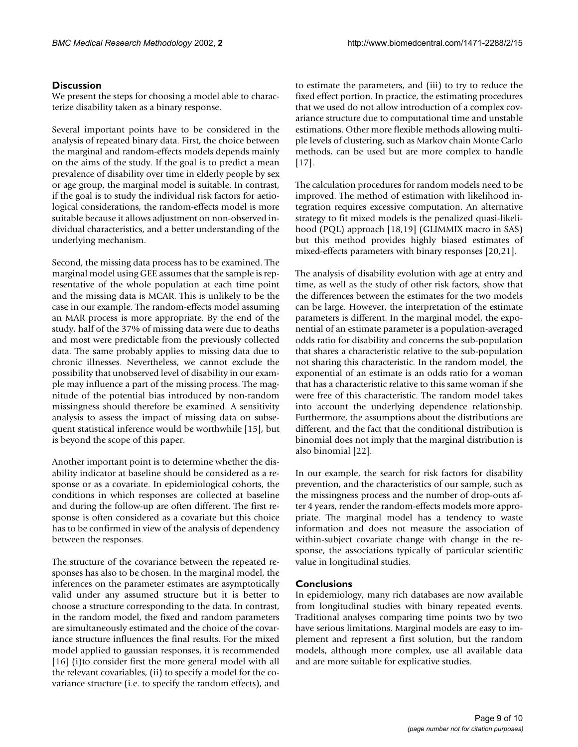# **Discussion**

We present the steps for choosing a model able to characterize disability taken as a binary response.

Several important points have to be considered in the analysis of repeated binary data. First, the choice between the marginal and random-effects models depends mainly on the aims of the study. If the goal is to predict a mean prevalence of disability over time in elderly people by sex or age group, the marginal model is suitable. In contrast, if the goal is to study the individual risk factors for aetiological considerations, the random-effects model is more suitable because it allows adjustment on non-observed individual characteristics, and a better understanding of the underlying mechanism.

Second, the missing data process has to be examined. The marginal model using GEE assumes that the sample is representative of the whole population at each time point and the missing data is MCAR. This is unlikely to be the case in our example. The random-effects model assuming an MAR process is more appropriate. By the end of the study, half of the 37% of missing data were due to deaths and most were predictable from the previously collected data. The same probably applies to missing data due to chronic illnesses. Nevertheless, we cannot exclude the possibility that unobserved level of disability in our example may influence a part of the missing process. The magnitude of the potential bias introduced by non-random missingness should therefore be examined. A sensitivity analysis to assess the impact of missing data on subsequent statistical inference would be worthwhile [\[15](#page-9-15)], but is beyond the scope of this paper.

Another important point is to determine whether the disability indicator at baseline should be considered as a response or as a covariate. In epidemiological cohorts, the conditions in which responses are collected at baseline and during the follow-up are often different. The first response is often considered as a covariate but this choice has to be confirmed in view of the analysis of dependency between the responses.

The structure of the covariance between the repeated responses has also to be chosen. In the marginal model, the inferences on the parameter estimates are asymptotically valid under any assumed structure but it is better to choose a structure corresponding to the data. In contrast, in the random model, the fixed and random parameters are simultaneously estimated and the choice of the covariance structure influences the final results. For the mixed model applied to gaussian responses, it is recommended [[16](#page-9-16)] (i)to consider first the more general model with all the relevant covariables, (ii) to specify a model for the covariance structure (i.e. to specify the random effects), and to estimate the parameters, and (iii) to try to reduce the fixed effect portion. In practice, the estimating procedures that we used do not allow introduction of a complex covariance structure due to computational time and unstable estimations. Other more flexible methods allowing multiple levels of clustering, such as Markov chain Monte Carlo methods, can be used but are more complex to handle [[17](#page-9-17)].

The calculation procedures for random models need to be improved. The method of estimation with likelihood integration requires excessive computation. An alternative strategy to fit mixed models is the penalized quasi-likelihood (PQL) approach [[18,](#page-9-18)[19\]](#page-9-19) (GLIMMIX macro in SAS) but this method provides highly biased estimates of mixed-effects parameters with binary responses [[20](#page-9-20),[21\]](#page-9-21).

The analysis of disability evolution with age at entry and time, as well as the study of other risk factors, show that the differences between the estimates for the two models can be large. However, the interpretation of the estimate parameters is different. In the marginal model, the exponential of an estimate parameter is a population-averaged odds ratio for disability and concerns the sub-population that shares a characteristic relative to the sub-population not sharing this characteristic. In the random model, the exponential of an estimate is an odds ratio for a woman that has a characteristic relative to this same woman if she were free of this characteristic. The random model takes into account the underlying dependence relationship. Furthermore, the assumptions about the distributions are different, and the fact that the conditional distribution is binomial does not imply that the marginal distribution is also binomial [\[22](#page-9-22)].

In our example, the search for risk factors for disability prevention, and the characteristics of our sample, such as the missingness process and the number of drop-outs after 4 years, render the random-effects models more appropriate. The marginal model has a tendency to waste information and does not measure the association of within-subject covariate change with change in the response, the associations typically of particular scientific value in longitudinal studies.

# **Conclusions**

In epidemiology, many rich databases are now available from longitudinal studies with binary repeated events. Traditional analyses comparing time points two by two have serious limitations. Marginal models are easy to implement and represent a first solution, but the random models, although more complex, use all available data and are more suitable for explicative studies.